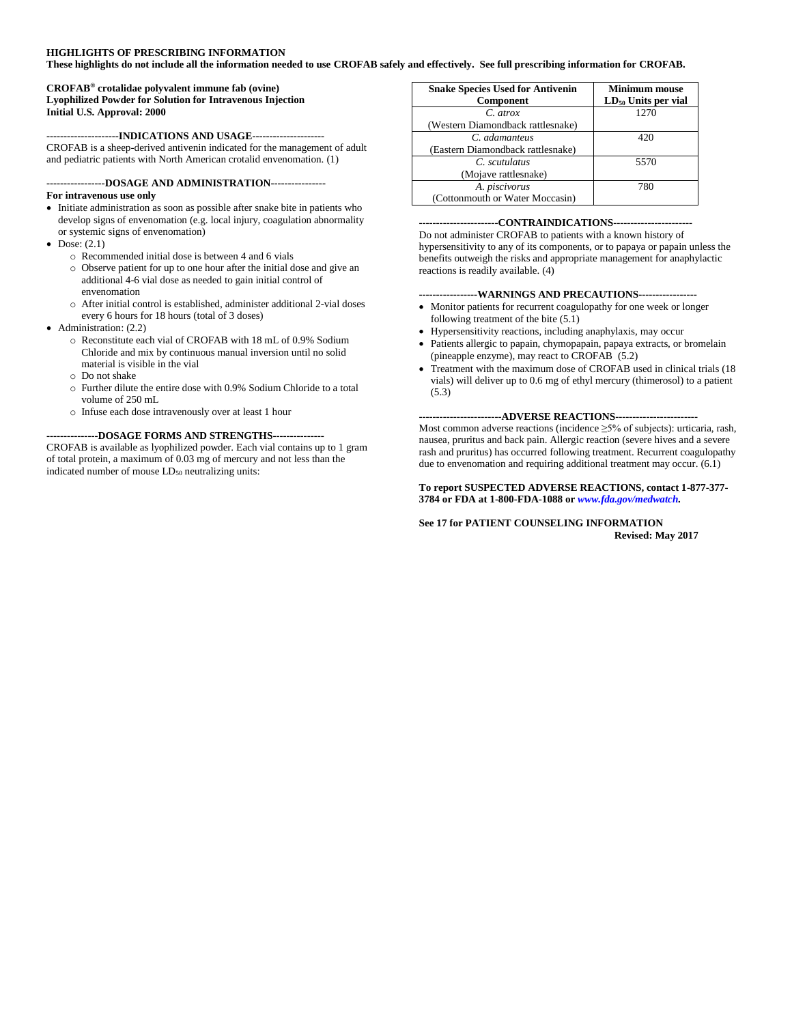#### **HIGHLIGHTS OF PRESCRIBING INFORMATION**

**These highlights do not include all the information needed to use CROFAB safely and effectively. See full prescribing information for CROFAB.**

#### **CROFAB® crotalidae polyvalent immune fab (ovine) Lyophilized Powder for Solution for Intravenous Injection Initial U.S. Approval: 2000**

#### **---------------------INDICATIONS AND USAGE---------------------**

CROFAB is a sheep-derived antivenin indicated for the management of adult and pediatric patients with North American crotalid envenomation. (1)

# **-----------------DOSAGE AND ADMINISTRATION----------------**

### **For intravenous use only**

- Initiate administration as soon as possible after snake bite in patients who develop signs of envenomation (e.g. local injury, coagulation abnormality or systemic signs of envenomation)
- $\bullet$  Dose: (2.1)
	- o Recommended initial dose is between 4 and 6 vials
	- o Observe patient for up to one hour after the initial dose and give an additional 4-6 vial dose as needed to gain initial control of envenomation
	- o After initial control is established, administer additional 2-vial doses every 6 hours for 18 hours (total of 3 doses)
- Administration: (2.2)
	- o Reconstitute each vial of CROFAB with 18 mL of 0.9% Sodium Chloride and mix by continuous manual inversion until no solid material is visible in the vial
	- o Do not shake
	- o Further dilute the entire dose with 0.9% Sodium Chloride to a total volume of 250 mL
	- o Infuse each dose intravenously over at least 1 hour

#### **---------------DOSAGE FORMS AND STRENGTHS---------------**

CROFAB is available as lyophilized powder. Each vial contains up to 1 gram of total protein, a maximum of 0.03 mg of mercury and not less than the indicated number of mouse  $LD_{50}$  neutralizing units:

| <b>Snake Species Used for Antivenin</b><br>Component | <b>Minimum mouse</b><br>$LD_{50}$ Units per vial |
|------------------------------------------------------|--------------------------------------------------|
| $C$ atrox                                            | 1270                                             |
| (Western Diamondback rattlesnake)                    |                                                  |
| C. adamanteus                                        | 420                                              |
| (Eastern Diamondback rattlesnake)                    |                                                  |
| C. scutulatus                                        | 5570                                             |
| (Mojave rattlesnake)                                 |                                                  |
| A. piscivorus                                        | 780                                              |
| (Cottonmouth or Water Moccasin)                      |                                                  |

#### **-----------------------CONTRAINDICATIONS-----------------------**

Do not administer CROFAB to patients with a known history of hypersensitivity to any of its components, or to papaya or papain unless the benefits outweigh the risks and appropriate management for anaphylactic reactions is readily available. (4)

## **-----------------WARNINGS AND PRECAUTIONS-----------------**

- Monitor patients for recurrent coagulopathy for one week or longer following treatment of the bite (5.1)
- Hypersensitivity reactions, including anaphylaxis, may occur
- Patients allergic to papain, chymopapain, papaya extracts, or bromelain (pineapple enzyme), may react to CROFAB (5.2)
- Treatment with the maximum dose of CROFAB used in clinical trials (18 vials) will deliver up to 0.6 mg of ethyl mercury (thimerosol) to a patient (5.3)

**------------------------ADVERSE REACTIONS------------------------** Most common adverse reactions (incidence ≥5% of subjects): urticaria, rash, nausea, pruritus and back pain. Allergic reaction (severe hives and a severe rash and pruritus) has occurred following treatment. Recurrent coagulopathy due to envenomation and requiring additional treatment may occur. (6.1)

#### **To report SUSPECTED ADVERSE REACTIONS, contact 1-877-377- 3784 or FDA at 1-800-FDA-1088 or** *www.fda.gov/medwatch.*

#### **See 17 for PATIENT COUNSELING INFORMATION Revised: May 2017**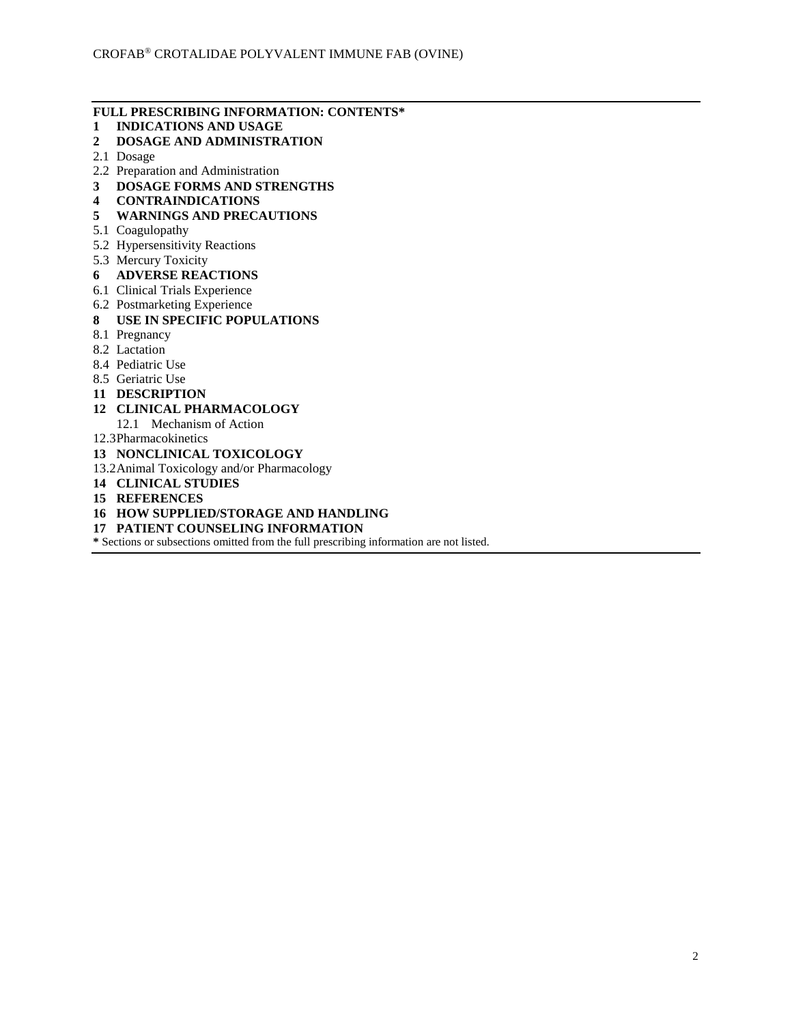# **FULL PRESCRIBING INFORMATION: CONTENTS\***

- **1 INDICATIONS AND USAGE**
- **2 DOSAGE AND ADMINISTRATION**
- 2.1 Dosage
- 2.2 Preparation and Administration
- **3 DOSAGE FORMS AND STRENGTHS**
- **4 CONTRAINDICATIONS**
- **5 WARNINGS AND PRECAUTIONS**
- 5.1 Coagulopathy
- 5.2 Hypersensitivity Reactions
- 5.3 Mercury Toxicity
- **6 ADVERSE REACTIONS**
- 6.1 Clinical Trials Experience
- 6.2 Postmarketing Experience
- **8 USE IN SPECIFIC POPULATIONS**
- 8.1 Pregnancy
- 8.2 Lactation
- 8.4 Pediatric Use
- 8.5 Geriatric Use
- **11 DESCRIPTION**

## **12 CLINICAL PHARMACOLOGY**

- 12.1 Mechanism of Action
- 12.3Pharmacokinetics
- **13 NONCLINICAL TOXICOLOGY**
- 13.2Animal Toxicology and/or Pharmacology
- **14 CLINICAL STUDIES**
- **15 REFERENCES**
- **16 HOW SUPPLIED/STORAGE AND HANDLING**
- **17 PATIENT COUNSELING INFORMATION**

**\*** Sections or subsections omitted from the full prescribing information are not listed.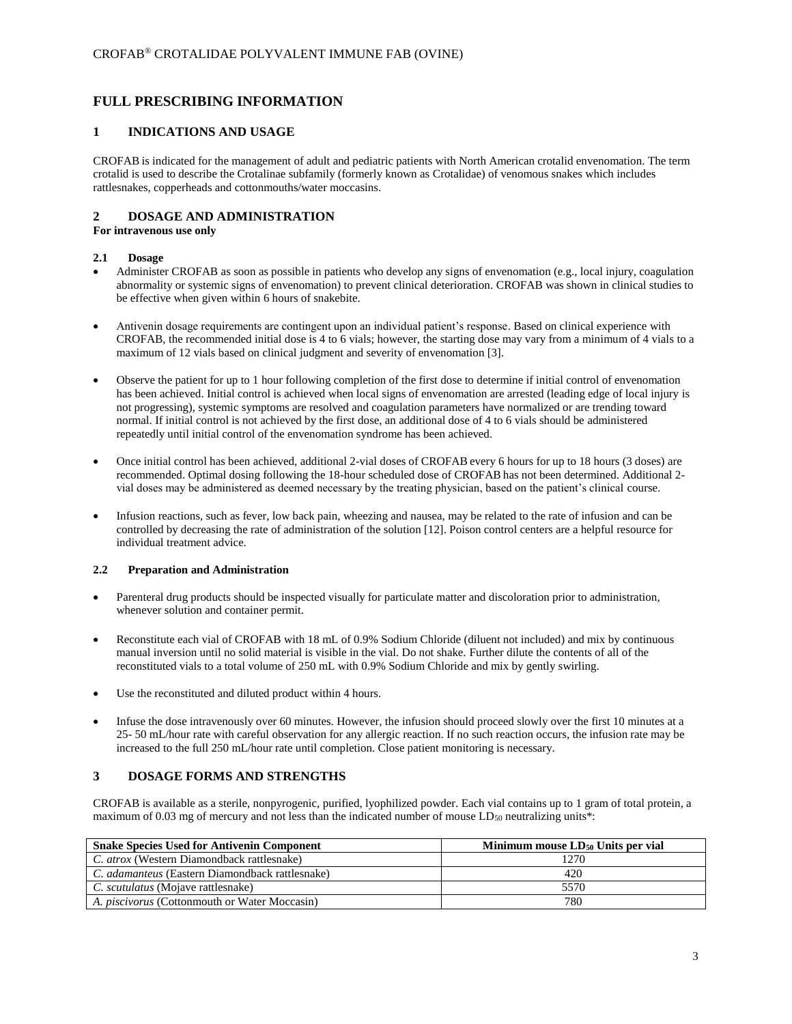# **FULL PRESCRIBING INFORMATION**

## **1 INDICATIONS AND USAGE**

CROFAB is indicated for the management of adult and pediatric patients with North American crotalid envenomation. The term crotalid is used to describe the Crotalinae subfamily (formerly known as Crotalidae) of venomous snakes which includes rattlesnakes, copperheads and cottonmouths/water moccasins.

## **2 DOSAGE AND ADMINISTRATION**

**For intravenous use only**

### **2.1 Dosage**

- Administer CROFAB as soon as possible in patients who develop any signs of envenomation (e.g., local injury, coagulation abnormality or systemic signs of envenomation) to prevent clinical deterioration. CROFAB was shown in clinical studies to be effective when given within 6 hours of snakebite.
- Antivenin dosage requirements are contingent upon an individual patient's response. Based on clinical experience with CROFAB, the recommended initial dose is 4 to 6 vials; however, the starting dose may vary from a minimum of 4 vials to a maximum of 12 vials based on clinical judgment and severity of envenomation [3].
- Observe the patient for up to 1 hour following completion of the first dose to determine if initial control of envenomation has been achieved. Initial control is achieved when local signs of envenomation are arrested (leading edge of local injury is not progressing), systemic symptoms are resolved and coagulation parameters have normalized or are trending toward normal. If initial control is not achieved by the first dose, an additional dose of 4 to 6 vials should be administered repeatedly until initial control of the envenomation syndrome has been achieved.
- Once initial control has been achieved, additional 2-vial doses of CROFAB every 6 hours for up to 18 hours (3 doses) are recommended. Optimal dosing following the 18-hour scheduled dose of CROFAB has not been determined. Additional 2 vial doses may be administered as deemed necessary by the treating physician, based on the patient's clinical course.
- Infusion reactions, such as fever, low back pain, wheezing and nausea, may be related to the rate of infusion and can be controlled by decreasing the rate of administration of the solution [12]. Poison control centers are a helpful resource for individual treatment advice.

## **2.2 Preparation and Administration**

- Parenteral drug products should be inspected visually for particulate matter and discoloration prior to administration, whenever solution and container permit.
- Reconstitute each vial of CROFAB with 18 mL of 0.9% Sodium Chloride (diluent not included) and mix by continuous manual inversion until no solid material is visible in the vial. Do not shake. Further dilute the contents of all of the reconstituted vials to a total volume of 250 mL with 0.9% Sodium Chloride and mix by gently swirling.
- Use the reconstituted and diluted product within 4 hours.
- Infuse the dose intravenously over 60 minutes. However, the infusion should proceed slowly over the first 10 minutes at a 25- 50 mL/hour rate with careful observation for any allergic reaction. If no such reaction occurs, the infusion rate may be increased to the full 250 mL/hour rate until completion. Close patient monitoring is necessary.

## **3 DOSAGE FORMS AND STRENGTHS**

CROFAB is available as a sterile, nonpyrogenic, purified, lyophilized powder. Each vial contains up to 1 gram of total protein, a maximum of 0.03 mg of mercury and not less than the indicated number of mouse LD<sub>50</sub> neutralizing units\*:

| <b>Snake Species Used for Antivenin Component</b>      | Minimum mouse LD <sub>50</sub> Units per vial |
|--------------------------------------------------------|-----------------------------------------------|
| C. atrox (Western Diamondback rattlesnake)             | 1270                                          |
| C. <i>adamanteus</i> (Eastern Diamondback rattlesnake) | 420                                           |
| C. scutulatus (Mojave rattlesnake)                     | 5570                                          |
| A. <i>piscivorus</i> (Cottonmouth or Water Moccasin)   | 780                                           |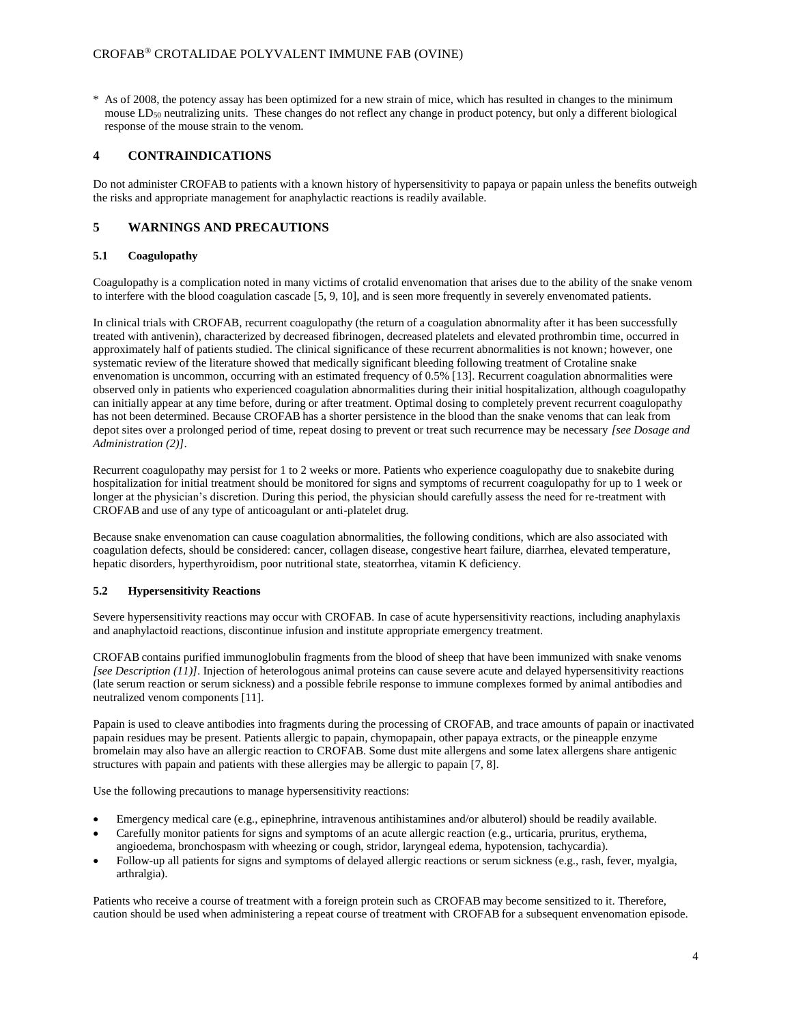\* As of 2008, the potency assay has been optimized for a new strain of mice, which has resulted in changes to the minimum mouse LD<sub>50</sub> neutralizing units. These changes do not reflect any change in product potency, but only a different biological response of the mouse strain to the venom.

## **4 CONTRAINDICATIONS**

Do not administer CROFAB to patients with a known history of hypersensitivity to papaya or papain unless the benefits outweigh the risks and appropriate management for anaphylactic reactions is readily available.

## **5 WARNINGS AND PRECAUTIONS**

### **5.1 Coagulopathy**

Coagulopathy is a complication noted in many victims of crotalid envenomation that arises due to the ability of the snake venom to interfere with the blood coagulation cascade [5, 9, 10], and is seen more frequently in severely envenomated patients.

In clinical trials with CROFAB, recurrent coagulopathy (the return of a coagulation abnormality after it has been successfully treated with antivenin), characterized by decreased fibrinogen, decreased platelets and elevated prothrombin time, occurred in approximately half of patients studied. The clinical significance of these recurrent abnormalities is not known; however, one systematic review of the literature showed that medically significant bleeding following treatment of Crotaline snake envenomation is uncommon, occurring with an estimated frequency of 0.5% [13]. Recurrent coagulation abnormalities were observed only in patients who experienced coagulation abnormalities during their initial hospitalization, although coagulopathy can initially appear at any time before, during or after treatment. Optimal dosing to completely prevent recurrent coagulopathy has not been determined. Because CROFAB has a shorter persistence in the blood than the snake venoms that can leak from depot sites over a prolonged period of time, repeat dosing to prevent or treat such recurrence may be necessary *[see Dosage and Administration (2)]*.

Recurrent coagulopathy may persist for 1 to 2 weeks or more. Patients who experience coagulopathy due to snakebite during hospitalization for initial treatment should be monitored for signs and symptoms of recurrent coagulopathy for up to 1 week or longer at the physician's discretion. During this period, the physician should carefully assess the need for re-treatment with CROFAB and use of any type of anticoagulant or anti-platelet drug.

Because snake envenomation can cause coagulation abnormalities, the following conditions, which are also associated with coagulation defects, should be considered: cancer, collagen disease, congestive heart failure, diarrhea, elevated temperature, hepatic disorders, hyperthyroidism, poor nutritional state, steatorrhea, vitamin K deficiency.

## **5.2 Hypersensitivity Reactions**

Severe hypersensitivity reactions may occur with CROFAB. In case of acute hypersensitivity reactions, including anaphylaxis and anaphylactoid reactions, discontinue infusion and institute appropriate emergency treatment.

CROFAB contains purified immunoglobulin fragments from the blood of sheep that have been immunized with snake venoms *[see Description (11)]*. Injection of heterologous animal proteins can cause severe acute and delayed hypersensitivity reactions (late serum reaction or serum sickness) and a possible febrile response to immune complexes formed by animal antibodies and neutralized venom components [11].

Papain is used to cleave antibodies into fragments during the processing of CROFAB, and trace amounts of papain or inactivated papain residues may be present. Patients allergic to papain, chymopapain, other papaya extracts, or the pineapple enzyme bromelain may also have an allergic reaction to CROFAB. Some dust mite allergens and some latex allergens share antigenic structures with papain and patients with these allergies may be allergic to papain [7, 8].

Use the following precautions to manage hypersensitivity reactions:

- Emergency medical care (e.g., epinephrine, intravenous antihistamines and/or albuterol) should be readily available.
- Carefully monitor patients for signs and symptoms of an acute allergic reaction (e.g., urticaria, pruritus, erythema, angioedema, bronchospasm with wheezing or cough, stridor, laryngeal edema, hypotension, tachycardia).
- Follow-up all patients for signs and symptoms of delayed allergic reactions or serum sickness (e.g., rash, fever, myalgia, arthralgia).

Patients who receive a course of treatment with a foreign protein such as CROFAB may become sensitized to it. Therefore, caution should be used when administering a repeat course of treatment with CROFAB for a subsequent envenomation episode.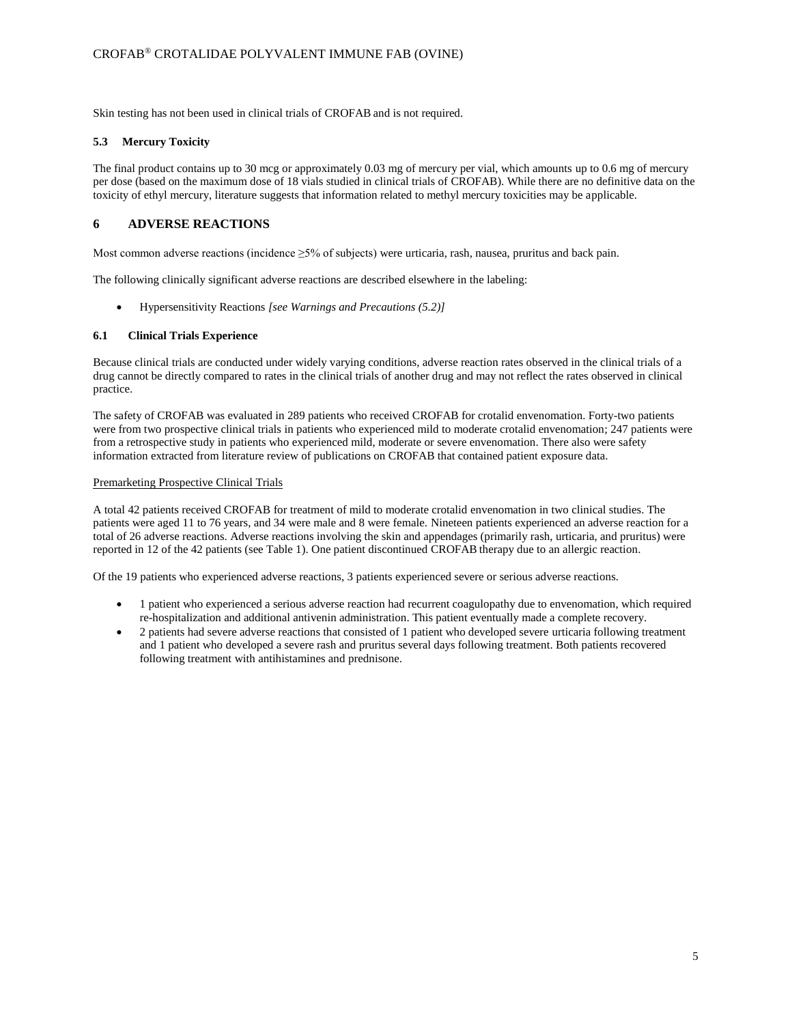Skin testing has not been used in clinical trials of CROFAB and is not required.

## **5.3 Mercury Toxicity**

The final product contains up to 30 mcg or approximately 0.03 mg of mercury per vial, which amounts up to 0.6 mg of mercury per dose (based on the maximum dose of 18 vials studied in clinical trials of CROFAB). While there are no definitive data on the toxicity of ethyl mercury, literature suggests that information related to methyl mercury toxicities may be applicable.

## **6 ADVERSE REACTIONS**

Most common adverse reactions (incidence ≥5% of subjects) were urticaria, rash, nausea, pruritus and back pain.

The following clinically significant adverse reactions are described elsewhere in the labeling:

Hypersensitivity Reactions *[see Warnings and Precautions (5.2)]*

## **6.1 Clinical Trials Experience**

Because clinical trials are conducted under widely varying conditions, adverse reaction rates observed in the clinical trials of a drug cannot be directly compared to rates in the clinical trials of another drug and may not reflect the rates observed in clinical practice.

The safety of CROFAB was evaluated in 289 patients who received CROFAB for crotalid envenomation. Forty-two patients were from two prospective clinical trials in patients who experienced mild to moderate crotalid envenomation; 247 patients were from a retrospective study in patients who experienced mild, moderate or severe envenomation. There also were safety information extracted from literature review of publications on CROFAB that contained patient exposure data.

### Premarketing Prospective Clinical Trials

A total 42 patients received CROFAB for treatment of mild to moderate crotalid envenomation in two clinical studies. The patients were aged 11 to 76 years, and 34 were male and 8 were female. Nineteen patients experienced an adverse reaction for a total of 26 adverse reactions. Adverse reactions involving the skin and appendages (primarily rash, urticaria, and pruritus) were reported in 12 of the 42 patients (see Table 1). One patient discontinued CROFAB therapy due to an allergic reaction.

Of the 19 patients who experienced adverse reactions, 3 patients experienced severe or serious adverse reactions.

- 1 patient who experienced a serious adverse reaction had recurrent coagulopathy due to envenomation, which required re-hospitalization and additional antivenin administration. This patient eventually made a complete recovery.
- 2 patients had severe adverse reactions that consisted of 1 patient who developed severe urticaria following treatment and 1 patient who developed a severe rash and pruritus several days following treatment. Both patients recovered following treatment with antihistamines and prednisone.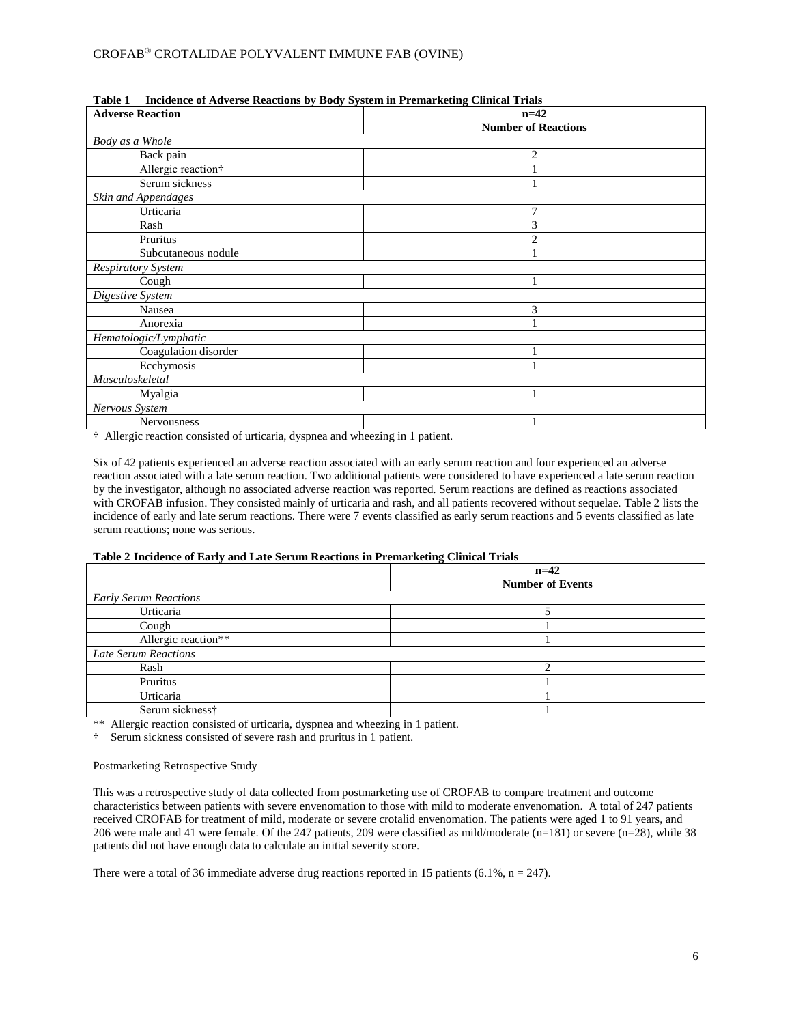## CROFAB® CROTALIDAE POLYVALENT IMMUNE FAB (OVINE)

| <b>Adverse Reaction</b>        | -<br>$n=42$                |
|--------------------------------|----------------------------|
|                                | <b>Number of Reactions</b> |
| Body as a Whole                |                            |
| Back pain                      | 2                          |
| Allergic reaction <sup>†</sup> |                            |
| Serum sickness                 |                            |
| Skin and Appendages            |                            |
| Urticaria                      | 7                          |
| Rash                           | 3                          |
| Pruritus                       | $\overline{c}$             |
| Subcutaneous nodule            |                            |
| <b>Respiratory System</b>      |                            |
| Cough                          |                            |
| Digestive System               |                            |
| Nausea                         | 3                          |
| Anorexia                       |                            |
| Hematologic/Lymphatic          |                            |
| Coagulation disorder           |                            |
| Ecchymosis                     |                            |
| Musculoskeletal                |                            |
| Myalgia                        |                            |
| Nervous System                 |                            |
| Nervousness                    |                            |

|  | Table 1 Incidence of Adverse Reactions by Body System in Premarketing Clinical Trials |  |  |  |  |  |  |
|--|---------------------------------------------------------------------------------------|--|--|--|--|--|--|
|--|---------------------------------------------------------------------------------------|--|--|--|--|--|--|

† Allergic reaction consisted of urticaria, dyspnea and wheezing in 1 patient.

Six of 42 patients experienced an adverse reaction associated with an early serum reaction and four experienced an adverse reaction associated with a late serum reaction. Two additional patients were considered to have experienced a late serum reaction by the investigator, although no associated adverse reaction was reported. Serum reactions are defined as reactions associated with CROFAB infusion. They consisted mainly of urticaria and rash, and all patients recovered without sequelae. Table 2 lists the incidence of early and late serum reactions. There were 7 events classified as early serum reactions and 5 events classified as late serum reactions; none was serious.

## **Table 2 Incidence of Early and Late Serum Reactions in Premarketing Clinical Trials**

| $\mathbf{r}$ and $\mathbf{r}$ and $\mathbf{r}$ and $\mathbf{r}$ and $\mathbf{r}$ and $\mathbf{r}$ and $\mathbf{r}$ and $\mathbf{r}$ and $\mathbf{r}$ and $\mathbf{r}$                                                                                                                                                                                                                                                                                        |                                   |  |  |
|--------------------------------------------------------------------------------------------------------------------------------------------------------------------------------------------------------------------------------------------------------------------------------------------------------------------------------------------------------------------------------------------------------------------------------------------------------------|-----------------------------------|--|--|
|                                                                                                                                                                                                                                                                                                                                                                                                                                                              | $n=42$<br><b>Number of Events</b> |  |  |
| <b>Early Serum Reactions</b>                                                                                                                                                                                                                                                                                                                                                                                                                                 |                                   |  |  |
| Urticaria                                                                                                                                                                                                                                                                                                                                                                                                                                                    |                                   |  |  |
| Cough                                                                                                                                                                                                                                                                                                                                                                                                                                                        |                                   |  |  |
| Allergic reaction**                                                                                                                                                                                                                                                                                                                                                                                                                                          |                                   |  |  |
| <b>Late Serum Reactions</b>                                                                                                                                                                                                                                                                                                                                                                                                                                  |                                   |  |  |
| Rash                                                                                                                                                                                                                                                                                                                                                                                                                                                         |                                   |  |  |
| Pruritus                                                                                                                                                                                                                                                                                                                                                                                                                                                     |                                   |  |  |
| Urticaria                                                                                                                                                                                                                                                                                                                                                                                                                                                    |                                   |  |  |
| Serum sickness <sup>+</sup>                                                                                                                                                                                                                                                                                                                                                                                                                                  |                                   |  |  |
| $\mathbf{a} \cdot \mathbf{b} = \mathbf{a} \cdot \mathbf{b} = \mathbf{a} \cdot \mathbf{b} = \mathbf{a} \cdot \mathbf{a} \cdot \mathbf{b} = \mathbf{a} \cdot \mathbf{b} \cdot \mathbf{c} + \mathbf{b} \cdot \mathbf{c} + \mathbf{c} \cdot \mathbf{c} + \mathbf{c} \cdot \mathbf{c} + \mathbf{c} \cdot \mathbf{c} + \mathbf{c} \cdot \mathbf{c} + \mathbf{c} \cdot \mathbf{c} + \mathbf{c} \cdot \mathbf{c} + \mathbf{c} \cdot \mathbf{c} + \mathbf{c} \cdot \$ |                                   |  |  |

\*\* Allergic reaction consisted of urticaria, dyspnea and wheezing in 1 patient.

† Serum sickness consisted of severe rash and pruritus in 1 patient.

#### Postmarketing Retrospective Study

This was a retrospective study of data collected from postmarketing use of CROFAB to compare treatment and outcome characteristics between patients with severe envenomation to those with mild to moderate envenomation. A total of 247 patients received CROFAB for treatment of mild, moderate or severe crotalid envenomation. The patients were aged 1 to 91 years, and 206 were male and 41 were female. Of the 247 patients, 209 were classified as mild/moderate (n=181) or severe (n=28), while 38 patients did not have enough data to calculate an initial severity score.

There were a total of 36 immediate adverse drug reactions reported in 15 patients (6.1%,  $n = 247$ ).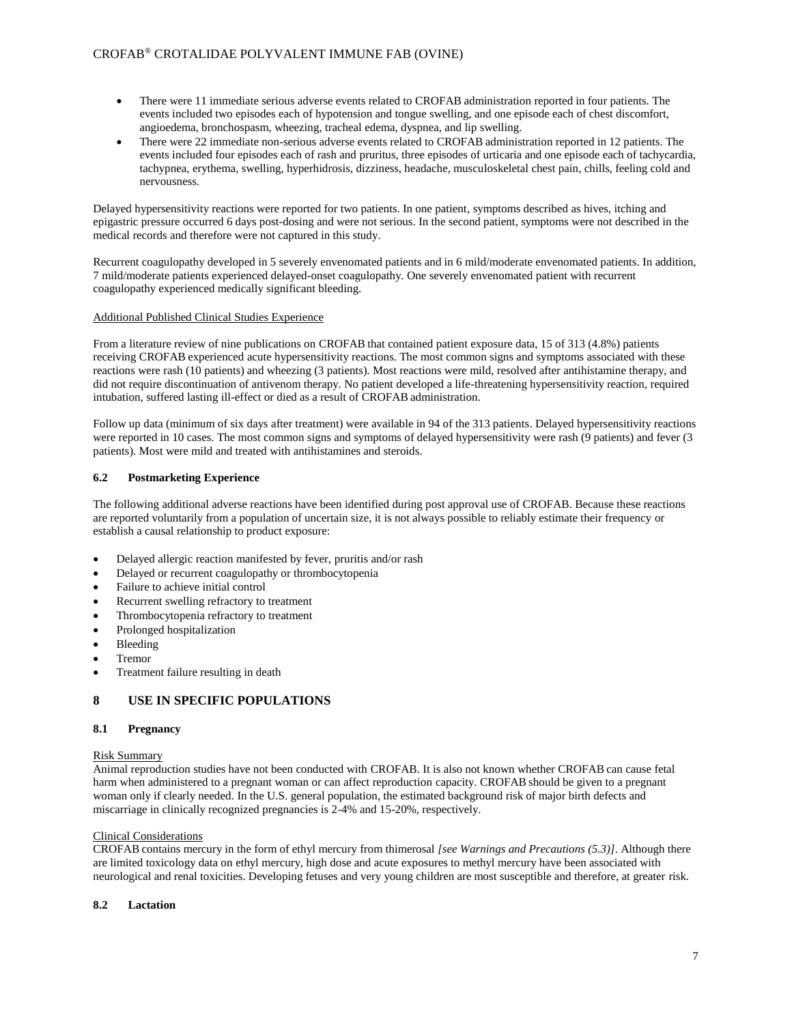- There were 11 immediate serious adverse events related to CROFAB administration reported in four patients. The events included two episodes each of hypotension and tongue swelling, and one episode each of chest discomfort, angioedema, bronchospasm, wheezing, tracheal edema, dyspnea, and lip swelling.
- There were 22 immediate non-serious adverse events related to CROFAB administration reported in 12 patients. The events included four episodes each of rash and pruritus, three episodes of urticaria and one episode each of tachycardia, tachypnea, erythema, swelling, hyperhidrosis, dizziness, headache, musculoskeletal chest pain, chills, feeling cold and nervousness.

Delayed hypersensitivity reactions were reported for two patients. In one patient, symptoms described as hives, itching and epigastric pressure occurred 6 days post-dosing and were not serious. In the second patient, symptoms were not described in the medical records and therefore were not captured in this study.

Recurrent coagulopathy developed in 5 severely envenomated patients and in 6 mild/moderate envenomated patients. In addition, 7 mild/moderate patients experienced delayed-onset coagulopathy. One severely envenomated patient with recurrent coagulopathy experienced medically significant bleeding.

## Additional Published Clinical Studies Experience

From a literature review of nine publications on CROFAB that contained patient exposure data, 15 of 313 (4.8%) patients receiving CROFAB experienced acute hypersensitivity reactions. The most common signs and symptoms associated with these reactions were rash (10 patients) and wheezing (3 patients). Most reactions were mild, resolved after antihistamine therapy, and did not require discontinuation of antivenom therapy. No patient developed a life-threatening hypersensitivity reaction, required intubation, suffered lasting ill-effect or died as a result of CROFAB administration.

Follow up data (minimum of six days after treatment) were available in 94 of the 313 patients. Delayed hypersensitivity reactions were reported in 10 cases. The most common signs and symptoms of delayed hypersensitivity were rash (9 patients) and fever (3 patients). Most were mild and treated with antihistamines and steroids.

## **6.2 Postmarketing Experience**

The following additional adverse reactions have been identified during post approval use of CROFAB. Because these reactions are reported voluntarily from a population of uncertain size, it is not always possible to reliably estimate their frequency or establish a causal relationship to product exposure:

- Delayed allergic reaction manifested by fever, pruritis and/or rash
- Delayed or recurrent coagulopathy or thrombocytopenia
- Failure to achieve initial control
- Recurrent swelling refractory to treatment
- Thrombocytopenia refractory to treatment
- Prolonged hospitalization
- Bleeding
- Tremor
- Treatment failure resulting in death

# **8 USE IN SPECIFIC POPULATIONS**

## **8.1 Pregnancy**

## Risk Summary

Animal reproduction studies have not been conducted with CROFAB. It is also not known whether CROFAB can cause fetal harm when administered to a pregnant woman or can affect reproduction capacity. CROFAB should be given to a pregnant woman only if clearly needed. In the U.S. general population, the estimated background risk of major birth defects and miscarriage in clinically recognized pregnancies is 2-4% and 15-20%, respectively.

## Clinical Considerations

CROFAB contains mercury in the form of ethyl mercury from thimerosal *[see Warnings and Precautions (5.3)]*. Although there are limited toxicology data on ethyl mercury, high dose and acute exposures to methyl mercury have been associated with neurological and renal toxicities. Developing fetuses and very young children are most susceptible and therefore, at greater risk.

## **8.2 Lactation**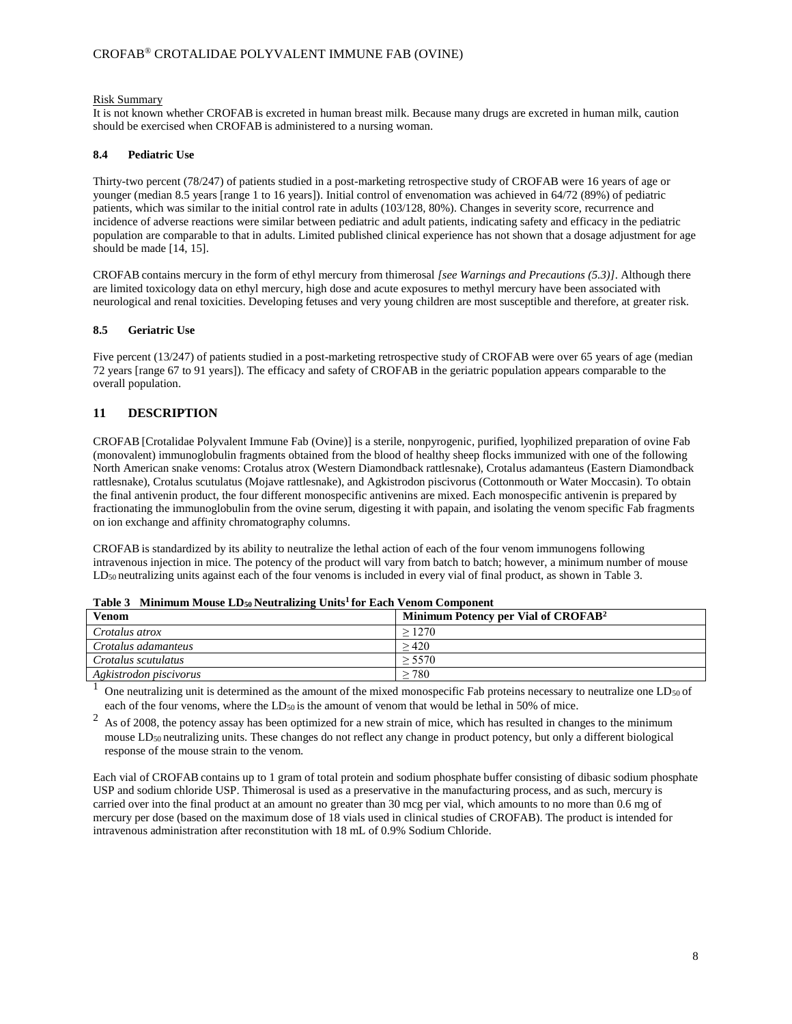#### Risk Summary

It is not known whether CROFAB is excreted in human breast milk. Because many drugs are excreted in human milk, caution should be exercised when CROFAB is administered to a nursing woman.

## **8.4 Pediatric Use**

Thirty-two percent (78/247) of patients studied in a post-marketing retrospective study of CROFAB were 16 years of age or younger (median 8.5 years [range 1 to 16 years]). Initial control of envenomation was achieved in 64/72 (89%) of pediatric patients, which was similar to the initial control rate in adults (103/128, 80%). Changes in severity score, recurrence and incidence of adverse reactions were similar between pediatric and adult patients, indicating safety and efficacy in the pediatric population are comparable to that in adults. Limited published clinical experience has not shown that a dosage adjustment for age should be made [14, 15].

CROFAB contains mercury in the form of ethyl mercury from thimerosal *[see Warnings and Precautions (5.3)]*. Although there are limited toxicology data on ethyl mercury, high dose and acute exposures to methyl mercury have been associated with neurological and renal toxicities. Developing fetuses and very young children are most susceptible and therefore, at greater risk.

## **8.5 Geriatric Use**

Five percent (13/247) of patients studied in a post-marketing retrospective study of CROFAB were over 65 years of age (median 72 years [range 67 to 91 years]). The efficacy and safety of CROFAB in the geriatric population appears comparable to the overall population.

## **11 DESCRIPTION**

CROFAB [Crotalidae Polyvalent Immune Fab (Ovine)] is a sterile, nonpyrogenic, purified, lyophilized preparation of ovine Fab (monovalent) immunoglobulin fragments obtained from the blood of healthy sheep flocks immunized with one of the following North American snake venoms: Crotalus atrox (Western Diamondback rattlesnake), Crotalus adamanteus (Eastern Diamondback rattlesnake), Crotalus scutulatus (Mojave rattlesnake), and Agkistrodon piscivorus (Cottonmouth or Water Moccasin). To obtain the final antivenin product, the four different monospecific antivenins are mixed. Each monospecific antivenin is prepared by fractionating the immunoglobulin from the ovine serum, digesting it with papain, and isolating the venom specific Fab fragments on ion exchange and affinity chromatography columns.

CROFAB is standardized by its ability to neutralize the lethal action of each of the four venom immunogens following intravenous injection in mice. The potency of the product will vary from batch to batch; however, a minimum number of mouse LD<sub>50</sub> neutralizing units against each of the four venoms is included in every vial of final product, as shown in Table 3.

| <b>Venom</b>           | Minimum Potency per Vial of CROFAB <sup>2</sup> |
|------------------------|-------------------------------------------------|
| Crotalus atrox         | >1270                                           |
| Crotalus adamanteus    | >420                                            |
| Crotalus scutulatus    | > 5570                                          |
| Agkistrodon piscivorus | 780                                             |

 $1$  One neutralizing unit is determined as the amount of the mixed monospecific Fab proteins necessary to neutralize one LD<sub>50</sub> of each of the four venoms, where the LD<sub>50</sub> is the amount of venom that would be lethal in 50% of mice.

 $2<sup>2</sup>$  As of 2008, the potency assay has been optimized for a new strain of mice, which has resulted in changes to the minimum mouse LD<sup>50</sup> neutralizing units. These changes do not reflect any change in product potency, but only a different biological response of the mouse strain to the venom.

Each vial of CROFAB contains up to 1 gram of total protein and sodium phosphate buffer consisting of dibasic sodium phosphate USP and sodium chloride USP. Thimerosal is used as a preservative in the manufacturing process, and as such, mercury is carried over into the final product at an amount no greater than 30 mcg per vial, which amounts to no more than 0.6 mg of mercury per dose (based on the maximum dose of 18 vials used in clinical studies of CROFAB). The product is intended for intravenous administration after reconstitution with 18 mL of 0.9% Sodium Chloride.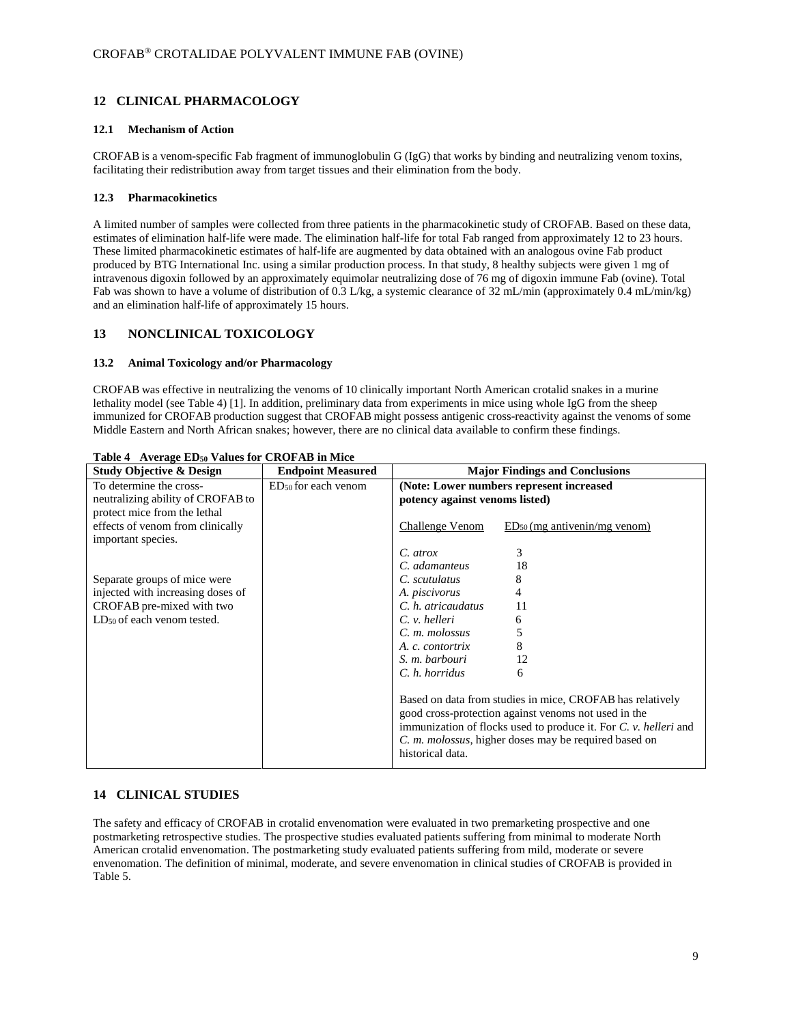# **12 CLINICAL PHARMACOLOGY**

## **12.1 Mechanism of Action**

CROFAB is a venom-specific Fab fragment of immunoglobulin G (IgG) that works by binding and neutralizing venom toxins, facilitating their redistribution away from target tissues and their elimination from the body.

### **12.3 Pharmacokinetics**

A limited number of samples were collected from three patients in the pharmacokinetic study of CROFAB. Based on these data, estimates of elimination half-life were made. The elimination half-life for total Fab ranged from approximately 12 to 23 hours. These limited pharmacokinetic estimates of half-life are augmented by data obtained with an analogous ovine Fab product produced by BTG International Inc. using a similar production process. In that study, 8 healthy subjects were given 1 mg of intravenous digoxin followed by an approximately equimolar neutralizing dose of 76 mg of digoxin immune Fab (ovine). Total Fab was shown to have a volume of distribution of 0.3 L/kg, a systemic clearance of 32 mL/min (approximately 0.4 mL/min/kg) and an elimination half-life of approximately 15 hours.

## **13 NONCLINICAL TOXICOLOGY**

### **13.2 Animal Toxicology and/or Pharmacology**

CROFAB was effective in neutralizing the venoms of 10 clinically important North American crotalid snakes in a murine lethality model (see Table 4) [1]. In addition, preliminary data from experiments in mice using whole IgG from the sheep immunized for CROFAB production suggest that CROFAB might possess antigenic cross-reactivity against the venoms of some Middle Eastern and North African snakes; however, there are no clinical data available to confirm these findings.

| <b>Study Objective &amp; Design</b>                                                          | <b>Endpoint Measured</b>        | <b>Major Findings and Conclusions</b>                                                                                                                                                                                                                                                     |  |  |
|----------------------------------------------------------------------------------------------|---------------------------------|-------------------------------------------------------------------------------------------------------------------------------------------------------------------------------------------------------------------------------------------------------------------------------------------|--|--|
| To determine the cross-<br>neutralizing ability of CROFAB to<br>protect mice from the lethal | ED <sub>50</sub> for each venom | (Note: Lower numbers represent increased<br>potency against venoms listed)                                                                                                                                                                                                                |  |  |
| effects of venom from clinically<br>important species.                                       |                                 | Challenge Venom<br>$ED_{50}$ (mg antivenin/mg venom)                                                                                                                                                                                                                                      |  |  |
|                                                                                              |                                 | 3<br>$C.$ atrox                                                                                                                                                                                                                                                                           |  |  |
|                                                                                              |                                 | 18<br>C. adamanteus                                                                                                                                                                                                                                                                       |  |  |
| Separate groups of mice were                                                                 |                                 | C. scutulatus<br>8                                                                                                                                                                                                                                                                        |  |  |
| injected with increasing doses of                                                            |                                 | 4<br>A. piscivorus                                                                                                                                                                                                                                                                        |  |  |
| CROFAB pre-mixed with two                                                                    |                                 | C. h. atricaudatus<br>11                                                                                                                                                                                                                                                                  |  |  |
| LD <sub>50</sub> of each venom tested.                                                       |                                 | $C. v.$ helleri<br>6                                                                                                                                                                                                                                                                      |  |  |
|                                                                                              |                                 | C. m. molossus<br>5                                                                                                                                                                                                                                                                       |  |  |
|                                                                                              |                                 | 8<br>A. c. contortrix                                                                                                                                                                                                                                                                     |  |  |
|                                                                                              |                                 | S. m. barbouri<br>12                                                                                                                                                                                                                                                                      |  |  |
|                                                                                              |                                 | C. h. horridus<br>6                                                                                                                                                                                                                                                                       |  |  |
|                                                                                              |                                 | Based on data from studies in mice, CROFAB has relatively<br>good cross-protection against venoms not used in the<br>immunization of flocks used to produce it. For $C$ , $\nu$ , <i>helleri</i> and<br>C. <i>m. molossus</i> , higher doses may be required based on<br>historical data. |  |  |

### **Table 4 Average ED<sup>50</sup> Values for CROFAB in Mice**

## **14 CLINICAL STUDIES**

The safety and efficacy of CROFAB in crotalid envenomation were evaluated in two premarketing prospective and one postmarketing retrospective studies. The prospective studies evaluated patients suffering from minimal to moderate North American crotalid envenomation. The postmarketing study evaluated patients suffering from mild, moderate or severe envenomation. The definition of minimal, moderate, and severe envenomation in clinical studies of CROFAB is provided in Table 5.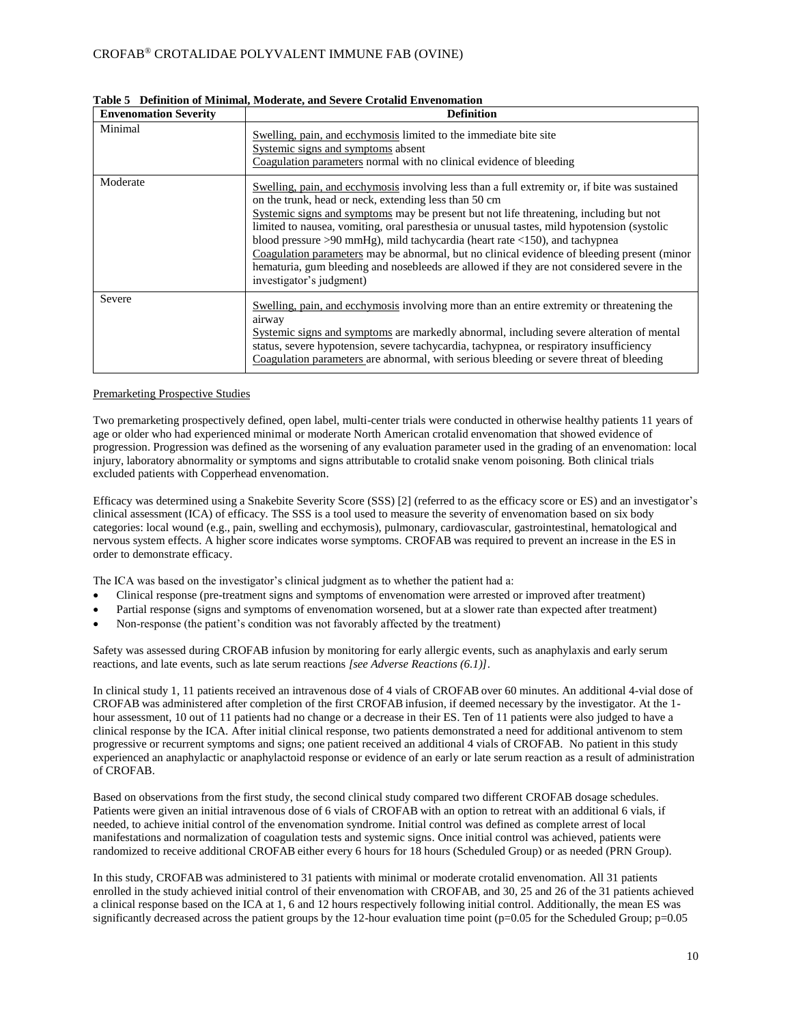| <b>Envenomation Severity</b> | <b>Definition</b>                                                                                                                                                                                                                                                                                                                                                                                                                                                                                                                                                                                                                                             |  |  |  |
|------------------------------|---------------------------------------------------------------------------------------------------------------------------------------------------------------------------------------------------------------------------------------------------------------------------------------------------------------------------------------------------------------------------------------------------------------------------------------------------------------------------------------------------------------------------------------------------------------------------------------------------------------------------------------------------------------|--|--|--|
| Minimal                      | Swelling, pain, and ecchymosis limited to the immediate bite site<br>Systemic signs and symptoms absent<br>Coagulation parameters normal with no clinical evidence of bleeding                                                                                                                                                                                                                                                                                                                                                                                                                                                                                |  |  |  |
| Moderate                     | Swelling, pain, and ecchymosis involving less than a full extremity or, if bite was sustained<br>on the trunk, head or neck, extending less than 50 cm<br>Systemic signs and symptoms may be present but not life threatening, including but not<br>limited to nausea, vomiting, oral paresthesia or unusual tastes, mild hypotension (systolic<br>blood pressure $>90$ mmHg), mild tachycardia (heart rate $<$ 150), and tachypnea<br>Coagulation parameters may be abnormal, but no clinical evidence of bleeding present (minor<br>hematuria, gum bleeding and nosebleeds are allowed if they are not considered severe in the<br>investigator's judgment) |  |  |  |
| Severe                       | Swelling, pain, and ecchymosis involving more than an entire extremity or threatening the<br>airway<br>Systemic signs and symptoms are markedly abnormal, including severe alteration of mental<br>status, severe hypotension, severe tachycardia, tachypnea, or respiratory insufficiency<br>Coagulation parameters are abnormal, with serious bleeding or severe threat of bleeding                                                                                                                                                                                                                                                                         |  |  |  |

**Table 5 Definition of Minimal, Moderate, and Severe Crotalid Envenomation**

### Premarketing Prospective Studies

Two premarketing prospectively defined, open label, multi-center trials were conducted in otherwise healthy patients 11 years of age or older who had experienced minimal or moderate North American crotalid envenomation that showed evidence of progression. Progression was defined as the worsening of any evaluation parameter used in the grading of an envenomation: local injury, laboratory abnormality or symptoms and signs attributable to crotalid snake venom poisoning. Both clinical trials excluded patients with Copperhead envenomation.

Efficacy was determined using a Snakebite Severity Score (SSS) [2] (referred to as the efficacy score or ES) and an investigator's clinical assessment (ICA) of efficacy. The SSS is a tool used to measure the severity of envenomation based on six body categories: local wound (e.g., pain, swelling and ecchymosis), pulmonary, cardiovascular, gastrointestinal, hematological and nervous system effects. A higher score indicates worse symptoms. CROFAB was required to prevent an increase in the ES in order to demonstrate efficacy.

The ICA was based on the investigator's clinical judgment as to whether the patient had a:

- Clinical response (pre-treatment signs and symptoms of envenomation were arrested or improved after treatment)
- Partial response (signs and symptoms of envenomation worsened, but at a slower rate than expected after treatment)
- Non-response (the patient's condition was not favorably affected by the treatment)

Safety was assessed during CROFAB infusion by monitoring for early allergic events, such as anaphylaxis and early serum reactions, and late events, such as late serum reactions *[see Adverse Reactions (6.1)]*.

In clinical study 1, 11 patients received an intravenous dose of 4 vials of CROFAB over 60 minutes. An additional 4-vial dose of CROFAB was administered after completion of the first CROFAB infusion, if deemed necessary by the investigator. At the 1 hour assessment, 10 out of 11 patients had no change or a decrease in their ES. Ten of 11 patients were also judged to have a clinical response by the ICA. After initial clinical response, two patients demonstrated a need for additional antivenom to stem progressive or recurrent symptoms and signs; one patient received an additional 4 vials of CROFAB. No patient in this study experienced an anaphylactic or anaphylactoid response or evidence of an early or late serum reaction as a result of administration of CROFAB.

Based on observations from the first study, the second clinical study compared two different CROFAB dosage schedules. Patients were given an initial intravenous dose of 6 vials of CROFAB with an option to retreat with an additional 6 vials, if needed, to achieve initial control of the envenomation syndrome. Initial control was defined as complete arrest of local manifestations and normalization of coagulation tests and systemic signs. Once initial control was achieved, patients were randomized to receive additional CROFAB either every 6 hours for 18 hours (Scheduled Group) or as needed (PRN Group).

In this study, CROFAB was administered to 31 patients with minimal or moderate crotalid envenomation. All 31 patients enrolled in the study achieved initial control of their envenomation with CROFAB, and 30, 25 and 26 of the 31 patients achieved a clinical response based on the ICA at 1, 6 and 12 hours respectively following initial control. Additionally, the mean ES was significantly decreased across the patient groups by the 12-hour evaluation time point ( $p=0.05$  for the Scheduled Group;  $p=0.05$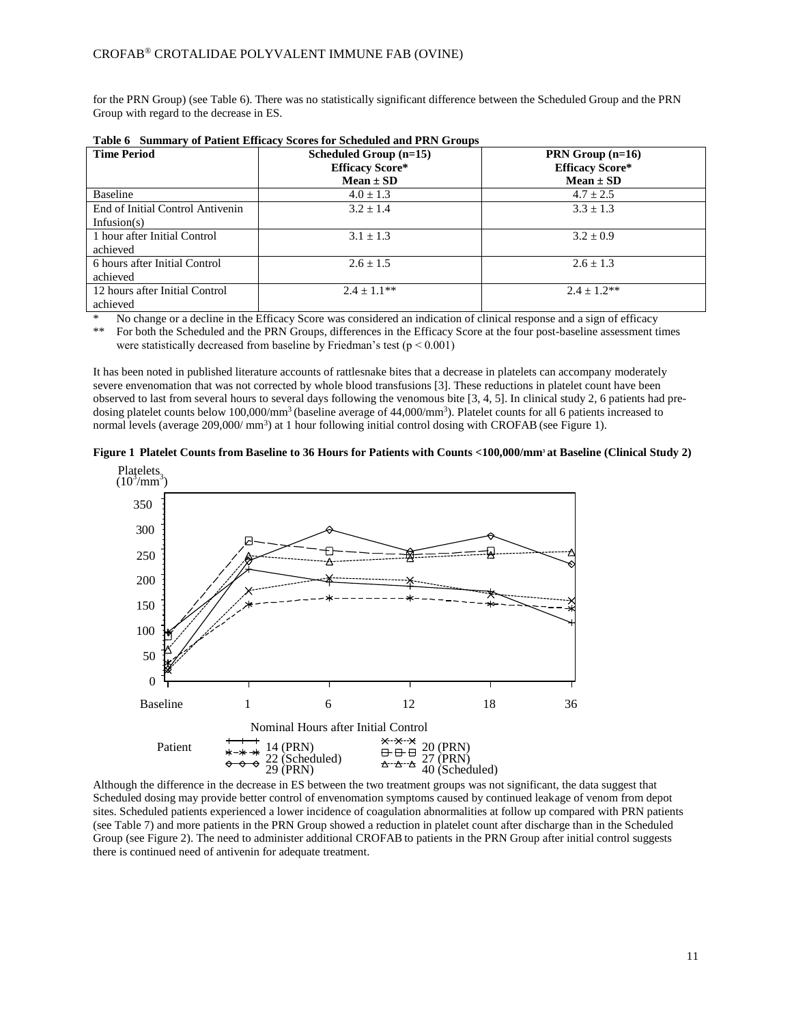for the PRN Group) (see Table 6). There was no statistically significant difference between the Scheduled Group and the PRN Group with regard to the decrease in ES.

| <b>Time Period</b>               | Scheduled Group $(n=15)$<br><b>Efficacy Score*</b><br>$Mean \pm SD$ | PRN Group $(n=16)$<br><b>Efficacy Score*</b><br>$Mean \pm SD$ |
|----------------------------------|---------------------------------------------------------------------|---------------------------------------------------------------|
| <b>Baseline</b>                  | $4.0 + 1.3$                                                         | $4.7 \pm 2.5$                                                 |
| End of Initial Control Antivenin | $3.2 \pm 1.4$                                                       | $3.3 + 1.3$                                                   |
| Infusion $(s)$                   |                                                                     |                                                               |
| 1 hour after Initial Control     | $3.1 + 1.3$                                                         | $3.2 + 0.9$                                                   |
| achieved                         |                                                                     |                                                               |
| 6 hours after Initial Control    | $2.6 \pm 1.5$                                                       | $2.6 + 1.3$                                                   |
| achieved                         |                                                                     |                                                               |
| 12 hours after Initial Control   | $2.4 + 1.1**$                                                       | $2.4 \pm 1.2**$                                               |
| achieved                         |                                                                     |                                                               |

|  |  |  |  |  | Table 6 Summary of Patient Efficacy Scores for Scheduled and PRN Groups |  |  |
|--|--|--|--|--|-------------------------------------------------------------------------|--|--|
|--|--|--|--|--|-------------------------------------------------------------------------|--|--|

No change or a decline in the Efficacy Score was considered an indication of clinical response and a sign of efficacy \*\* For both the Scheduled and the PRN Groups, differences in the Efficacy Score at the four post-baseline assessment times were statistically decreased from baseline by Friedman's test ( $p \le 0.001$ )

It has been noted in published literature accounts of rattlesnake bites that a decrease in platelets can accompany moderately severe envenomation that was not corrected by whole blood transfusions [3]. These reductions in platelet count have been observed to last from several hours to several days following the venomous bite [3, 4, 5]. In clinical study 2, 6 patients had predosing platelet counts below  $100,000/\text{mm}^3$  (baseline average of  $44,000/\text{mm}^3$ ). Platelet counts for all 6 patients increased to normal levels (average 209,000/mm<sup>3</sup>) at 1 hour following initial control dosing with CROFAB (see Figure 1).





Although the difference in the decrease in ES between the two treatment groups was not significant, the data suggest that Scheduled dosing may provide better control of envenomation symptoms caused by continued leakage of venom from depot sites. Scheduled patients experienced a lower incidence of coagulation abnormalities at follow up compared with PRN patients (see Table 7) and more patients in the PRN Group showed a reduction in platelet count after discharge than in the Scheduled Group (see Figure 2). The need to administer additional CROFAB to patients in the PRN Group after initial control suggests there is continued need of antivenin for adequate treatment.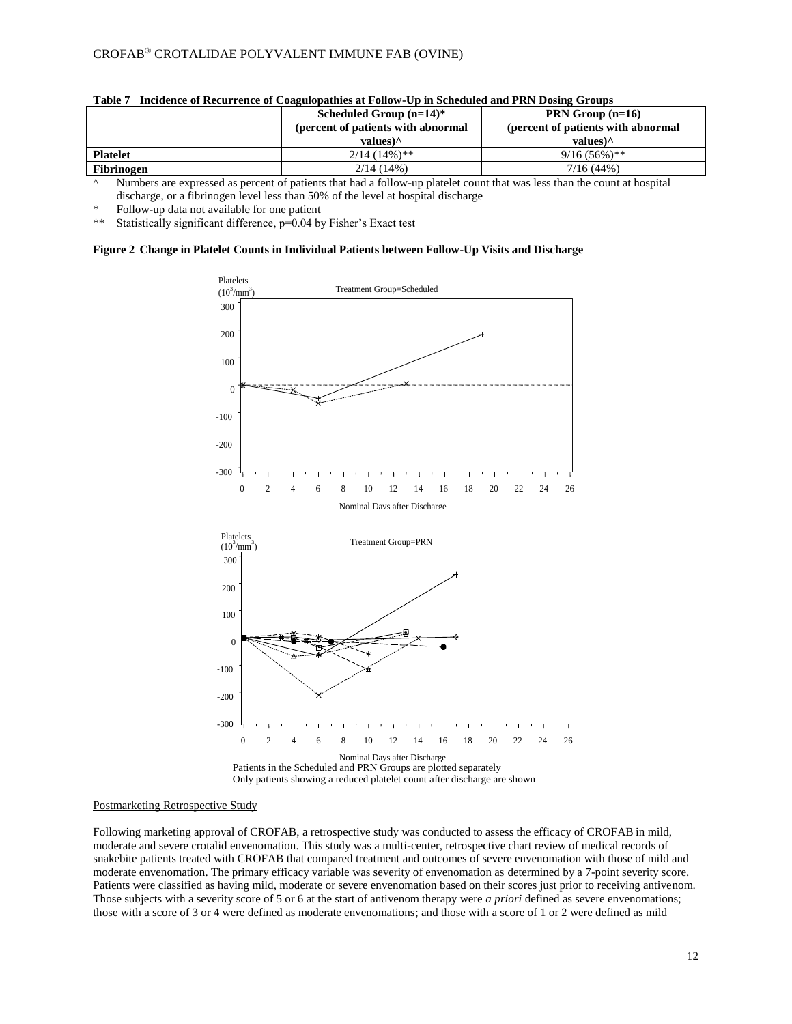| Tadir 1           | Including of Keepitchee of Coaguiopatines at Follow-Op in Beneding and FKR Dosing Groups<br>Scheduled Group $(n=14)^*$<br>(percent of patients with abnormal | PRN Group $(n=16)$<br>(percent of patients with abnormal |
|-------------------|--------------------------------------------------------------------------------------------------------------------------------------------------------------|----------------------------------------------------------|
|                   | values) $^{\wedge}$                                                                                                                                          | values) $\wedge$                                         |
| <b>Platelet</b>   | $2/14$ (14%)**                                                                                                                                               | $9/16(56\%)$ **                                          |
| <b>Fibrinogen</b> | $2/14(14\%)$                                                                                                                                                 | 7/16(44%)                                                |

|  | Table 7 Incidence of Recurrence of Coagulopathies at Follow-Up in Scheduled and PRN Dosing Groups |  |  |  |  |  |  |
|--|---------------------------------------------------------------------------------------------------|--|--|--|--|--|--|
|--|---------------------------------------------------------------------------------------------------|--|--|--|--|--|--|

^ Numbers are expressed as percent of patients that had a follow-up platelet count that was less than the count at hospital discharge, or a fibrinogen level less than 50% of the level at hospital discharge

Follow-up data not available for one patient

\*\* Statistically significant difference, p=0.04 by Fisher's Exact test

### **Figure 2 Change in Platelet Counts in Individual Patients between Follow-Up Visits and Discharge**



#### Postmarketing Retrospective Study

Following marketing approval of CROFAB, a retrospective study was conducted to assess the efficacy of CROFAB in mild, moderate and severe crotalid envenomation. This study was a multi-center, retrospective chart review of medical records of snakebite patients treated with CROFAB that compared treatment and outcomes of severe envenomation with those of mild and moderate envenomation. The primary efficacy variable was severity of envenomation as determined by a 7-point severity score. Patients were classified as having mild, moderate or severe envenomation based on their scores just prior to receiving antivenom. Those subjects with a severity score of 5 or 6 at the start of antivenom therapy were *a priori* defined as severe envenomations; those with a score of 3 or 4 were defined as moderate envenomations; and those with a score of 1 or 2 were defined as mild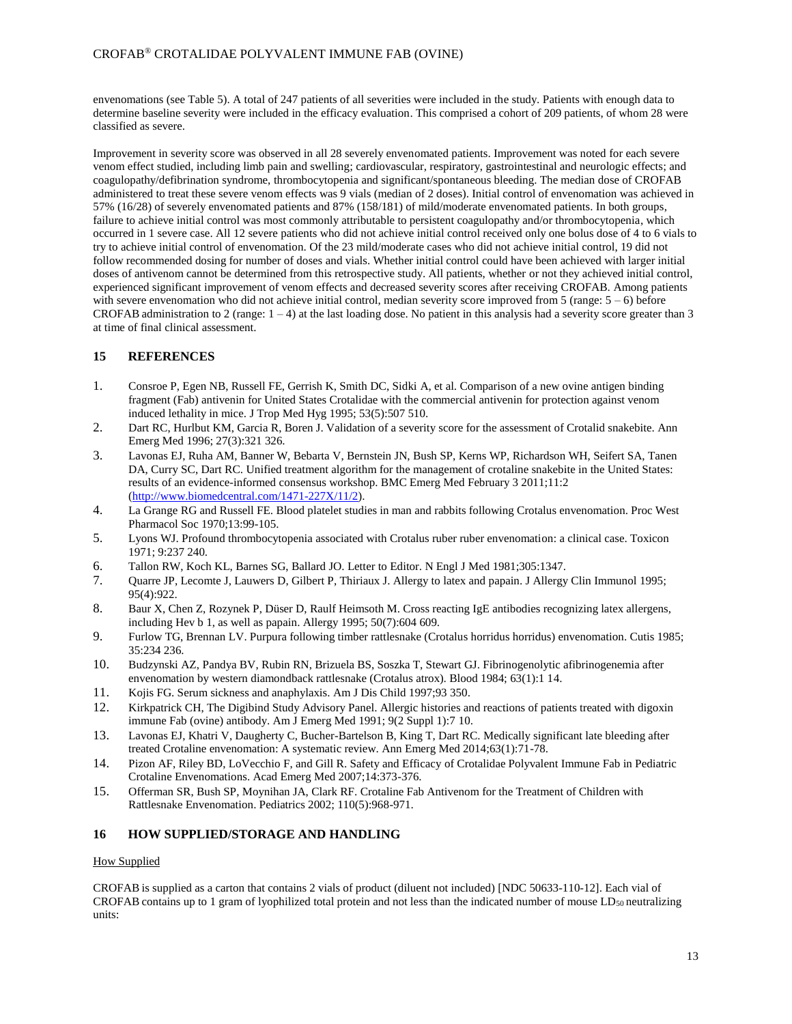## CROFAB® CROTALIDAE POLYVALENT IMMUNE FAB (OVINE)

envenomations (see Table 5). A total of 247 patients of all severities were included in the study. Patients with enough data to determine baseline severity were included in the efficacy evaluation. This comprised a cohort of 209 patients, of whom 28 were classified as severe.

Improvement in severity score was observed in all 28 severely envenomated patients. Improvement was noted for each severe venom effect studied, including limb pain and swelling; cardiovascular, respiratory, gastrointestinal and neurologic effects; and coagulopathy/defibrination syndrome, thrombocytopenia and significant/spontaneous bleeding. The median dose of CROFAB administered to treat these severe venom effects was 9 vials (median of 2 doses). Initial control of envenomation was achieved in 57% (16/28) of severely envenomated patients and 87% (158/181) of mild/moderate envenomated patients. In both groups, failure to achieve initial control was most commonly attributable to persistent coagulopathy and/or thrombocytopenia, which occurred in 1 severe case. All 12 severe patients who did not achieve initial control received only one bolus dose of 4 to 6 vials to try to achieve initial control of envenomation. Of the 23 mild/moderate cases who did not achieve initial control, 19 did not follow recommended dosing for number of doses and vials. Whether initial control could have been achieved with larger initial doses of antivenom cannot be determined from this retrospective study. All patients, whether or not they achieved initial control, experienced significant improvement of venom effects and decreased severity scores after receiving CROFAB. Among patients with severe envenomation who did not achieve initial control, median severity score improved from 5 (range:  $5 - 6$ ) before CROFAB administration to 2 (range:  $1 - 4$ ) at the last loading dose. No patient in this analysis had a severity score greater than 3 at time of final clinical assessment.

# **15 REFERENCES**

- 1. Consroe P, Egen NB, Russell FE, Gerrish K, Smith DC, Sidki A, et al. Comparison of a new ovine antigen binding fragment (Fab) antivenin for United States Crotalidae with the commercial antivenin for protection against venom induced lethality in mice. J Trop Med Hyg 1995; 53(5):507 510.
- 2. Dart RC, Hurlbut KM, Garcia R, Boren J. Validation of a severity score for the assessment of Crotalid snakebite. Ann Emerg Med 1996; 27(3):321 326.
- 3. Lavonas EJ, Ruha AM, Banner W, Bebarta V, Bernstein JN, Bush SP, Kerns WP, Richardson WH, Seifert SA, Tanen DA, Curry SC, Dart RC. Unified treatment algorithm for the management of crotaline snakebite in the United States: results of an evidence-informed consensus workshop. BMC Emerg Med February 3 2011;11:2 [\(http://www.biomedcentral.com/1471-227X/11/2\)](http://www.biomedcentral.com/1471-227X/11/2).
- 4. La Grange RG and Russell FE. Blood platelet studies in man and rabbits following Crotalus envenomation. Proc West Pharmacol Soc 1970;13:99-105.
- 5. Lyons WJ. Profound thrombocytopenia associated with Crotalus ruber ruber envenomation: a clinical case. Toxicon 1971; 9:237 240.
- 6. Tallon RW, Koch KL, Barnes SG, Ballard JO. Letter to Editor. N Engl J Med 1981;305:1347.
- 7. Quarre JP, Lecomte J, Lauwers D, Gilbert P, Thiriaux J. Allergy to latex and papain. J Allergy Clin Immunol 1995; 95(4):922.
- 8. Baur X, Chen Z, Rozynek P, Düser D, Raulf Heimsoth M. Cross reacting IgE antibodies recognizing latex allergens, including Hev b 1, as well as papain. Allergy 1995; 50(7):604 609.
- 9. Furlow TG, Brennan LV. Purpura following timber rattlesnake (Crotalus horridus horridus) envenomation. Cutis 1985; 35:234 236.
- 10. Budzynski AZ, Pandya BV, Rubin RN, Brizuela BS, Soszka T, Stewart GJ. Fibrinogenolytic afibrinogenemia after envenomation by western diamondback rattlesnake (Crotalus atrox). Blood 1984; 63(1):1 14.
- 11. Kojis FG. Serum sickness and anaphylaxis. Am J Dis Child 1997;93 350.
- 12. Kirkpatrick CH, The Digibind Study Advisory Panel. Allergic histories and reactions of patients treated with digoxin immune Fab (ovine) antibody. Am J Emerg Med 1991; 9(2 Suppl 1):7 10.
- 13. Lavonas EJ, Khatri V, Daugherty C, Bucher-Bartelson B, King T, Dart RC. Medically significant late bleeding after treated Crotaline envenomation: A systematic review. Ann Emerg Med 2014;63(1):71-78.
- 14. Pizon AF, Riley BD, LoVecchio F, and Gill R. Safety and Efficacy of Crotalidae Polyvalent Immune Fab in Pediatric Crotaline Envenomations. Acad Emerg Med 2007;14:373-376.
- 15. Offerman SR, Bush SP, Moynihan JA, Clark RF. Crotaline Fab Antivenom for the Treatment of Children with Rattlesnake Envenomation. Pediatrics 2002; 110(5):968-971.

## **16 HOW SUPPLIED/STORAGE AND HANDLING**

## How Supplied

CROFAB is supplied as a carton that contains 2 vials of product (diluent not included) [NDC 50633-110-12]. Each vial of CROFAB contains up to 1 gram of lyophilized total protein and not less than the indicated number of mouse  $LD_{50}$  neutralizing units: